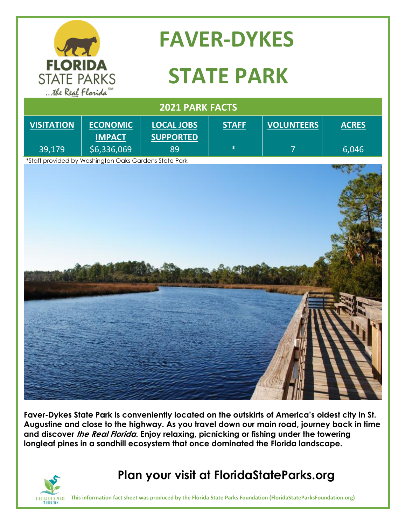

## **FAVER-DYKES**

# **STATE PARK**

| 2021 PARK FACTS   |                                                       |                                       |              |                   |              |
|-------------------|-------------------------------------------------------|---------------------------------------|--------------|-------------------|--------------|
| <b>VISITATION</b> | <b>ECONOMIC</b><br><b>IMPACT</b>                      | <b>LOCAL JOBS</b><br><b>SUPPORTED</b> | <b>STAFF</b> | <b>VOLUNTEERS</b> | <b>ACRES</b> |
| 39,179            | \$6,336,069                                           | 89                                    | $\ast$       | $\overline{7}$    | 6,046        |
|                   | *Staff provided by Washington Oaks Gardens State Park |                                       |              |                   |              |
|                   |                                                       |                                       |              |                   |              |

**Faver-Dykes State Park is conveniently located on the outskirts of America's oldest city in St. Augustine and close to the highway. As you travel down our main road, journey back in time and discover the Real Florida. Enjoy relaxing, picnicking or fishing under the towering longleaf pines in a sandhill ecosystem that once dominated the Florida landscape.** 



### **Plan your visit at FloridaStateParks.org**

**This information fact sheet was produced by the Florida State Parks Foundation (FloridaStateParksFoundation.org)**